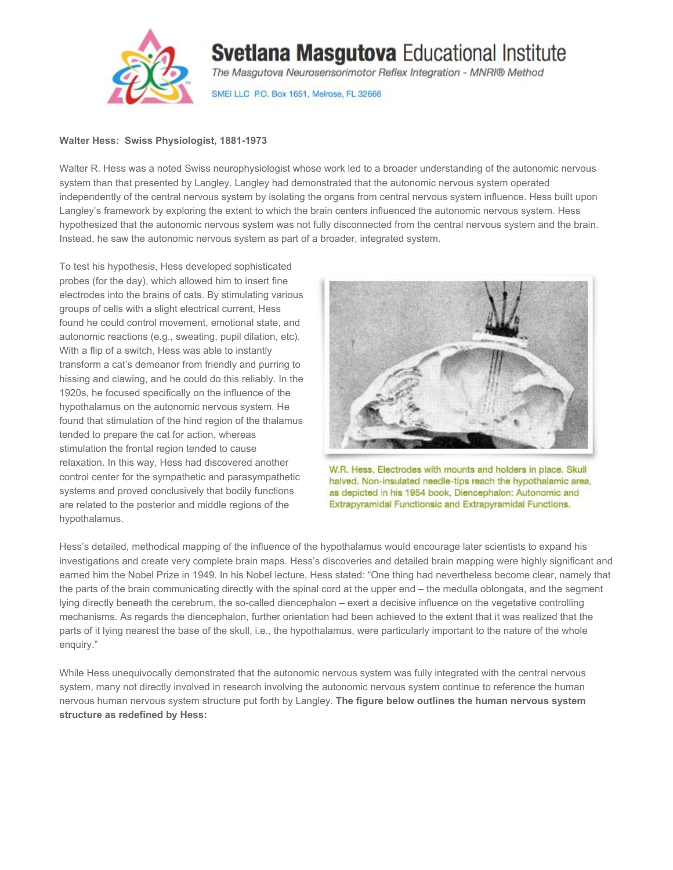

## **Svetlana Masgutova Educational Institute**

The Masgutova Neurosensorimotor Reflex Integration - MNRI® Method

SMEI LLC P.O. Box 1651, Melrose, FL 32666

## **Walter Hess: Swiss Physiologist, 1881-1973**

Walter R. Hess was a noted Swiss neurophysiologist whose work led to a broader understanding of the autonomic nervous system than that presented by Langley. Langley had demonstrated that the autonomic nervous system operated independently of the central nervous system by isolating the organs from central nervous system influence. Hess built upon Langley's framework by exploring the extent to which the brain centers influenced the autonomic nervous system. Hess hypothesized that the autonomic nervous system was not fully disconnected from the central nervous system and the brain. Instead, he saw the autonomic nervous system as part of a broader, integrated system.

To test his hypothesis, Hess developed sophisticated probes (for the day), which allowed him to insert fine electrodes into the brains of cats. By stimulating various groups of cells with a slight electrical current, Hess found he could control movement, emotional state, and autonomic reactions (e.g., sweating, pupil dilation, etc). With a flip of a switch, Hess was able to instantly transform a cat's demeanor from friendly and purring to hissing and clawing, and he could do this reliably. In the 1920s, he focused specifically on the influence of the hypothalamus on the autonomic nervous system. He found that stimulation of the hind region of the thalamus tended to prepare the cat for action, whereas stimulation the frontal region tended to cause relaxation. In this way, Hess had discovered another control center for the sympathetic and parasympathetic systems and proved conclusively that bodily functions are related to the posterior and middle regions of the hypothalamus.



W.R. Hess, Electrodes with mounts and holders in place. Skull halved. Non-insulated needle-tips reach the hypothalamic area, as depicted in his 1954 book, Diencephalon: Autonomic and Extrapyramidal Functionsic and Extrapyramidal Functions.

Hess's detailed, methodical mapping of the influence of the hypothalamus would encourage later scientists to expand his investigations and create very complete brain maps. Hess's discoveries and detailed brain mapping were highly significant and earned him the Nobel Prize in 1949. In his Nobel lecture, Hess stated: "One thing had nevertheless become clear, namely that the parts of the brain communicating directly with the spinal cord at the upper end – the medulla oblongata, and the segment lying directly beneath the cerebrum, the so-called diencephalon – exert a decisive influence on the vegetative controlling mechanisms. As regards the diencephalon, further orientation had been achieved to the extent that it was realized that the parts of it lying nearest the base of the skull, i.e., the hypothalamus, were particularly important to the nature of the whole enquiry."

While Hess unequivocally demonstrated that the autonomic nervous system was fully integrated with the central nervous system, many not directly involved in research involving the autonomic nervous system continue to reference the human nervous human nervous system structure put forth by Langley. **The figure below outlines the human nervous system structure as redefined by Hess:**